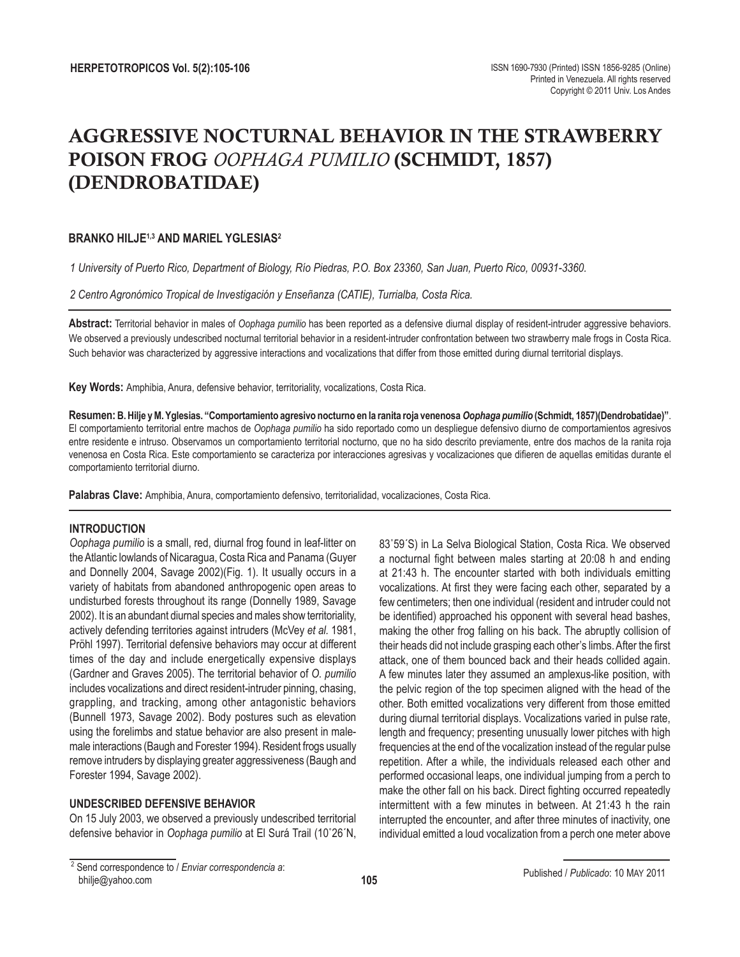# AGGRESSIVE NOCTURNAL BEHAVIOR IN THE STRAWBERRY POISON FROG *OOPHAGA PUMILIO* (SCHMIDT, 1857) (DENDROBATIDAE)

## **BRANKO HILJE1,3 AND MARIEL YGLESIAS2**

*1 University of Puerto Rico, Department of Biology, Río Piedras, P.O. Box 23360, San Juan, Puerto Rico, 00931-3360.* 

*2 Centro Agronómico Tropical de Investigación y Enseñanza (CATIE), Turrialba, Costa Rica.* 

**Abstract:** Territorial behavior in males of *Oophaga pumilio* has been reported as a defensive diurnal display of resident-intruder aggressive behaviors. We observed a previously undescribed nocturnal territorial behavior in a resident-intruder confrontation between two strawberry male frogs in Costa Rica. Such behavior was characterized by aggressive interactions and vocalizations that differ from those emitted during diurnal territorial displays.

**Key Words:** Amphibia, Anura, defensive behavior, territoriality, vocalizations, Costa Rica.

**Resumen: B. Hilje y M. Yglesias. "Comportamiento agresivo nocturno en la ranita roja venenosa** *Oophaga pumilio* **(Schmidt, 1857)(Dendrobatidae)"**. El comportamiento territorial entre machos de *Oophaga pumilio* ha sido reportado como un despliegue defensivo diurno de comportamientos agresivos entre residente e intruso. Observamos un comportamiento territorial nocturno, que no ha sido descrito previamente, entre dos machos de la ranita roja venenosa en Costa Rica. Este comportamiento se caracteriza por interacciones agresivas y vocalizaciones que difieren de aquellas emitidas durante el comportamiento territorial diurno.

**Palabras Clave:** Amphibia, Anura, comportamiento defensivo, territorialidad, vocalizaciones, Costa Rica.

#### **INTRODUCTION**

*Oophaga pumilio* is a small, red, diurnal frog found in leaf-litter on the Atlantic lowlands of Nicaragua, Costa Rica and Panama (Guyer and Donnelly 2004, Savage 2002)(Fig. 1). It usually occurs in a variety of habitats from abandoned anthropogenic open areas to undisturbed forests throughout its range (Donnelly 1989, Savage 2002). It is an abundant diurnal species and males show territoriality, actively defending territories against intruders (McVey *et al.* 1981, Pröhl 1997). Territorial defensive behaviors may occur at different times of the day and include energetically expensive displays (Gardner and Graves 2005). The territorial behavior of *O. pumilio*  includes vocalizations and direct resident-intruder pinning, chasing, grappling, and tracking, among other antagonistic behaviors (Bunnell 1973, Savage 2002). Body postures such as elevation using the forelimbs and statue behavior are also present in malemale interactions (Baugh and Forester 1994). Resident frogs usually remove intruders by displaying greater aggressiveness (Baugh and Forester 1994, Savage 2002).

#### **UNDESCRIBED DEFENSIVE BEHAVIOR**

On 15 July 2003, we observed a previously undescribed territorial defensive behavior in *Oophaga pumilio* at El Surá Trail (10˚26΄N, 83˚59΄S) in La Selva Biological Station, Costa Rica. We observed a nocturnal fight between males starting at 20:08 h and ending at 21:43 h. The encounter started with both individuals emitting vocalizations. At first they were facing each other, separated by a few centimeters; then one individual (resident and intruder could not be identified) approached his opponent with several head bashes, making the other frog falling on his back. The abruptly collision of their heads did not include grasping each other's limbs. After the first attack, one of them bounced back and their heads collided again. A few minutes later they assumed an amplexus-like position, with the pelvic region of the top specimen aligned with the head of the other. Both emitted vocalizations very different from those emitted during diurnal territorial displays. Vocalizations varied in pulse rate, length and frequency; presenting unusually lower pitches with high frequencies at the end of the vocalization instead of the regular pulse repetition. After a while, the individuals released each other and performed occasional leaps, one individual jumping from a perch to make the other fall on his back. Direct fighting occurred repeatedly intermittent with a few minutes in between. At 21:43 h the rain interrupted the encounter, and after three minutes of inactivity, one individual emitted a loud vocalization from a perch one meter above

<sup>2</sup> Send correspondence to / *Enviar correspondencia a*: bhilje@yahoo.com

Published / *Publicado*: 10 MAY 2011